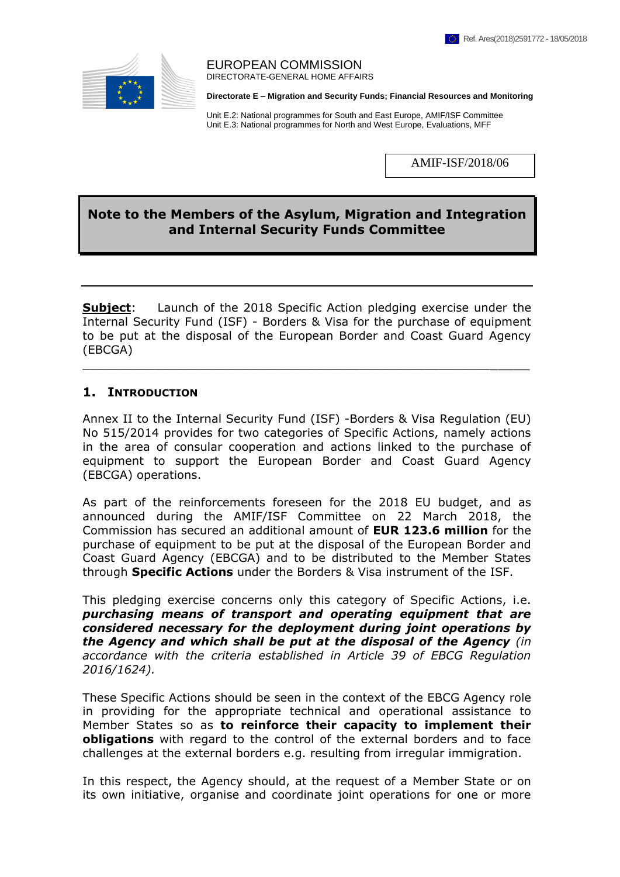

#### EUROPEAN COMMISSION DIRECTORATE-GENERAL HOME AFFAIRS

**Directorate E – Migration and Security Funds; Financial Resources and Monitoring**

Unit E.2: National programmes for South and East Europe, AMIF/ISF Committee Unit E.3: National programmes for North and West Europe, Evaluations, MFF

AMIF-ISF/2018/06

# **Note to the Members of the Asylum, Migration and Integration and Internal Security Funds Committee**

**Subject:** Launch of the 2018 Specific Action pledging exercise under the Internal Security Fund (ISF) - Borders & Visa for the purchase of equipment to be put at the disposal of the European Border and Coast Guard Agency (EBCGA)

 $\_$  , and the contribution of the contribution of  $\mathcal{L}_1$  , and  $\mathcal{L}_2$  , and  $\mathcal{L}_3$  , and  $\mathcal{L}_4$  , and  $\mathcal{L}_5$  , and  $\mathcal{L}_6$  , and  $\mathcal{L}_7$  , and  $\mathcal{L}_8$  , and  $\mathcal{L}_7$  , and  $\mathcal{L}_8$  , and  $\mathcal{L}_8$  ,

### **1. INTRODUCTION**

Annex II to the Internal Security Fund (ISF) -Borders & Visa Regulation (EU) No 515/2014 provides for two categories of Specific Actions, namely actions in the area of consular cooperation and actions linked to the purchase of equipment to support the European Border and Coast Guard Agency (EBCGA) operations.

As part of the reinforcements foreseen for the 2018 EU budget, and as announced during the AMIF/ISF Committee on 22 March 2018, the Commission has secured an additional amount of **EUR 123.6 million** for the purchase of equipment to be put at the disposal of the European Border and Coast Guard Agency (EBCGA) and to be distributed to the Member States through **Specific Actions** under the Borders & Visa instrument of the ISF.

This pledging exercise concerns only this category of Specific Actions, i.e. *purchasing means of transport and operating equipment that are considered necessary for the deployment during joint operations by the Agency and which shall be put at the disposal of the Agency (in accordance with the criteria established in Article 39 of EBCG Regulation 2016/1624).* 

These Specific Actions should be seen in the context of the EBCG Agency role in providing for the appropriate technical and operational assistance to Member States so as **to reinforce their capacity to implement their obligations** with regard to the control of the external borders and to face challenges at the external borders e.g. resulting from irregular immigration.

In this respect, the Agency should, at the request of a Member State or on its own initiative, organise and coordinate joint operations for one or more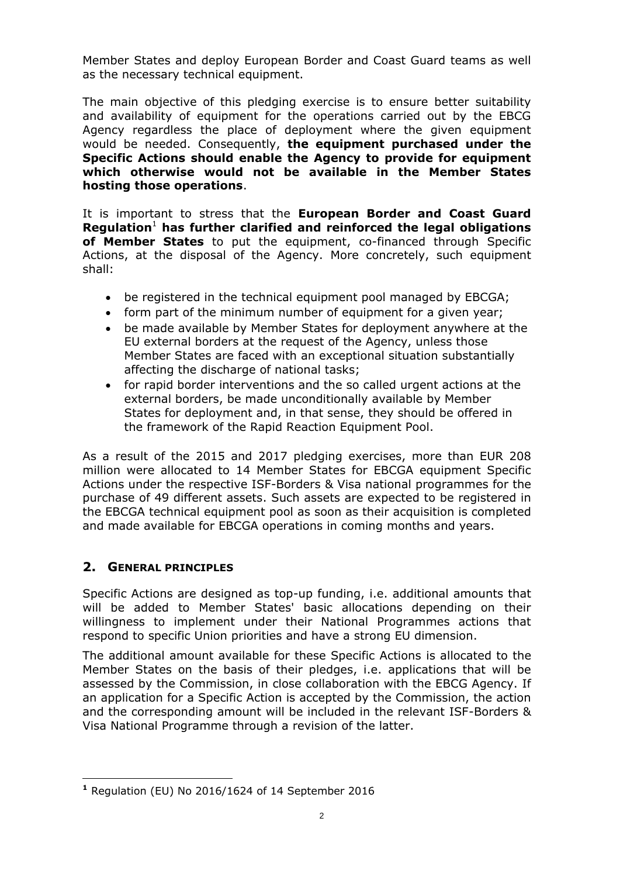Member States and deploy European Border and Coast Guard teams as well as the necessary technical equipment.

The main objective of this pledging exercise is to ensure better suitability and availability of equipment for the operations carried out by the EBCG Agency regardless the place of deployment where the given equipment would be needed. Consequently, **the equipment purchased under the Specific Actions should enable the Agency to provide for equipment which otherwise would not be available in the Member States hosting those operations**.

It is important to stress that the **European Border and Coast Guard Regulation**<sup>1</sup> **has further clarified and reinforced the legal obligations of Member States** to put the equipment, co-financed through Specific Actions, at the disposal of the Agency. More concretely, such equipment shall:

- be registered in the technical equipment pool managed by EBCGA;
- form part of the minimum number of equipment for a given year;
- be made available by Member States for deployment anywhere at the EU external borders at the request of the Agency, unless those Member States are faced with an exceptional situation substantially affecting the discharge of national tasks;
- for rapid border interventions and the so called urgent actions at the external borders, be made unconditionally available by Member States for deployment and, in that sense, they should be offered in the framework of the Rapid Reaction Equipment Pool.

As a result of the 2015 and 2017 pledging exercises, more than EUR 208 million were allocated to 14 Member States for EBCGA equipment Specific Actions under the respective ISF-Borders & Visa national programmes for the purchase of 49 different assets. Such assets are expected to be registered in the EBCGA technical equipment pool as soon as their acquisition is completed and made available for EBCGA operations in coming months and years.

# **2. GENERAL PRINCIPLES**

Specific Actions are designed as top-up funding, i.e. additional amounts that will be added to Member States' basic allocations depending on their willingness to implement under their National Programmes actions that respond to specific Union priorities and have a strong EU dimension.

The additional amount available for these Specific Actions is allocated to the Member States on the basis of their pledges, i.e. applications that will be assessed by the Commission, in close collaboration with the EBCG Agency. If an application for a Specific Action is accepted by the Commission, the action and the corresponding amount will be included in the relevant ISF-Borders & Visa National Programme through a revision of the latter.

 $\overline{a}$ **<sup>1</sup>** Regulation (EU) No 2016/1624 of 14 September 2016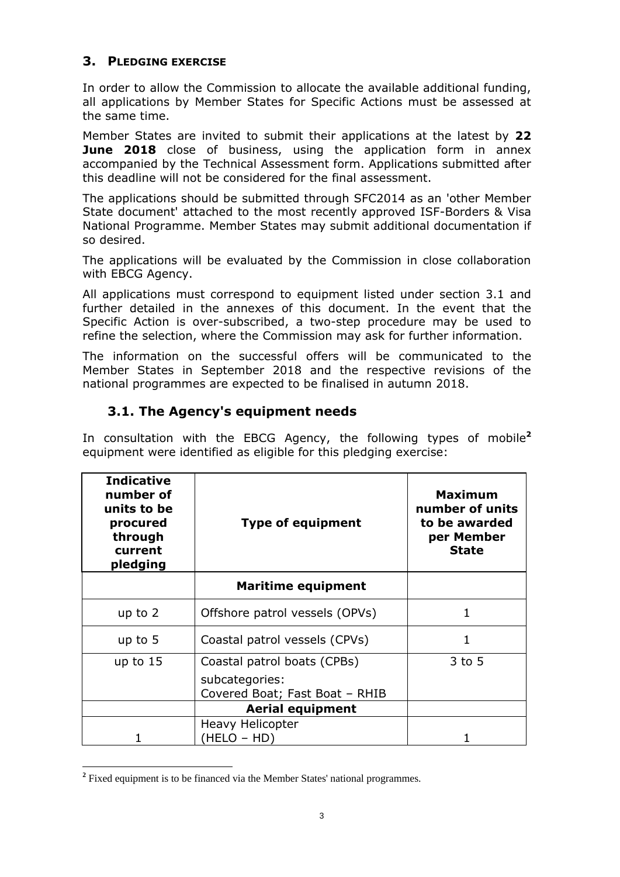# **3. PLEDGING EXERCISE**

In order to allow the Commission to allocate the available additional funding, all applications by Member States for Specific Actions must be assessed at the same time.

Member States are invited to submit their applications at the latest by **22 June 2018** close of business, using the application form in annex accompanied by the Technical Assessment form. Applications submitted after this deadline will not be considered for the final assessment.

The applications should be submitted through SFC2014 as an 'other Member State document' attached to the most recently approved ISF-Borders & Visa National Programme. Member States may submit additional documentation if so desired.

The applications will be evaluated by the Commission in close collaboration with EBCG Agency.

All applications must correspond to equipment listed under section 3.1 and further detailed in the annexes of this document. In the event that the Specific Action is over-subscribed, a two-step procedure may be used to refine the selection, where the Commission may ask for further information.

The information on the successful offers will be communicated to the Member States in September 2018 and the respective revisions of the national programmes are expected to be finalised in autumn 2018.

# **3.1. The Agency's equipment needs**

In consultation with the EBCG Agency, the following types of mobile**<sup>2</sup>** equipment were identified as eligible for this pledging exercise:

| <b>Indicative</b><br>number of<br>units to be<br>procured<br>through<br>current<br>pledging | <b>Type of equipment</b>                         | <b>Maximum</b><br>number of units<br>to be awarded<br>per Member<br><b>State</b> |
|---------------------------------------------------------------------------------------------|--------------------------------------------------|----------------------------------------------------------------------------------|
|                                                                                             | <b>Maritime equipment</b>                        |                                                                                  |
| up to $2$                                                                                   | Offshore patrol vessels (OPVs)                   | 1                                                                                |
| up to $5$                                                                                   | Coastal patrol vessels (CPVs)                    | 1                                                                                |
| up to $15$                                                                                  | Coastal patrol boats (CPBs)                      | $3$ to 5                                                                         |
|                                                                                             | subcategories:<br>Covered Boat; Fast Boat - RHIB |                                                                                  |
|                                                                                             | <b>Aerial equipment</b>                          |                                                                                  |
|                                                                                             | <b>Heavy Helicopter</b><br>(HELO – HD)           |                                                                                  |

 $\overline{a}$ <sup>2</sup> Fixed equipment is to be financed via the Member States' national programmes.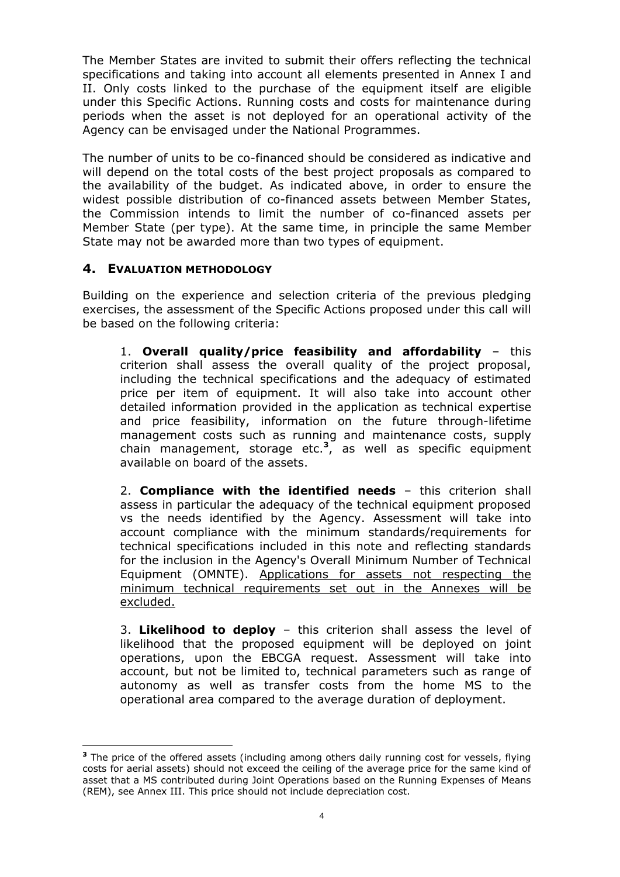The Member States are invited to submit their offers reflecting the technical specifications and taking into account all elements presented in Annex I and II. Only costs linked to the purchase of the equipment itself are eligible under this Specific Actions. Running costs and costs for maintenance during periods when the asset is not deployed for an operational activity of the Agency can be envisaged under the National Programmes.

The number of units to be co-financed should be considered as indicative and will depend on the total costs of the best project proposals as compared to the availability of the budget. As indicated above, in order to ensure the widest possible distribution of co-financed assets between Member States, the Commission intends to limit the number of co-financed assets per Member State (per type). At the same time, in principle the same Member State may not be awarded more than two types of equipment.

# **4. EVALUATION METHODOLOGY**

 $\overline{a}$ 

Building on the experience and selection criteria of the previous pledging exercises, the assessment of the Specific Actions proposed under this call will be based on the following criteria:

1. **Overall quality/price feasibility and affordability** – this criterion shall assess the overall quality of the project proposal, including the technical specifications and the adequacy of estimated price per item of equipment. It will also take into account other detailed information provided in the application as technical expertise and price feasibility, information on the future through-lifetime management costs such as running and maintenance costs, supply chain management, storage etc.**<sup>3</sup>** , as well as specific equipment available on board of the assets.

2. **Compliance with the identified needs** – this criterion shall assess in particular the adequacy of the technical equipment proposed vs the needs identified by the Agency. Assessment will take into account compliance with the minimum standards/requirements for technical specifications included in this note and reflecting standards for the inclusion in the Agency's Overall Minimum Number of Technical Equipment (OMNTE). Applications for assets not respecting the minimum technical requirements set out in the Annexes will be excluded.

3. **Likelihood to deploy** – this criterion shall assess the level of likelihood that the proposed equipment will be deployed on joint operations, upon the EBCGA request. Assessment will take into account, but not be limited to, technical parameters such as range of autonomy as well as transfer costs from the home MS to the operational area compared to the average duration of deployment.

**<sup>3</sup>** The price of the offered assets (including among others daily running cost for vessels, flying costs for aerial assets) should not exceed the ceiling of the average price for the same kind of asset that a MS contributed during Joint Operations based on the Running Expenses of Means (REM), see Annex III. This price should not include depreciation cost.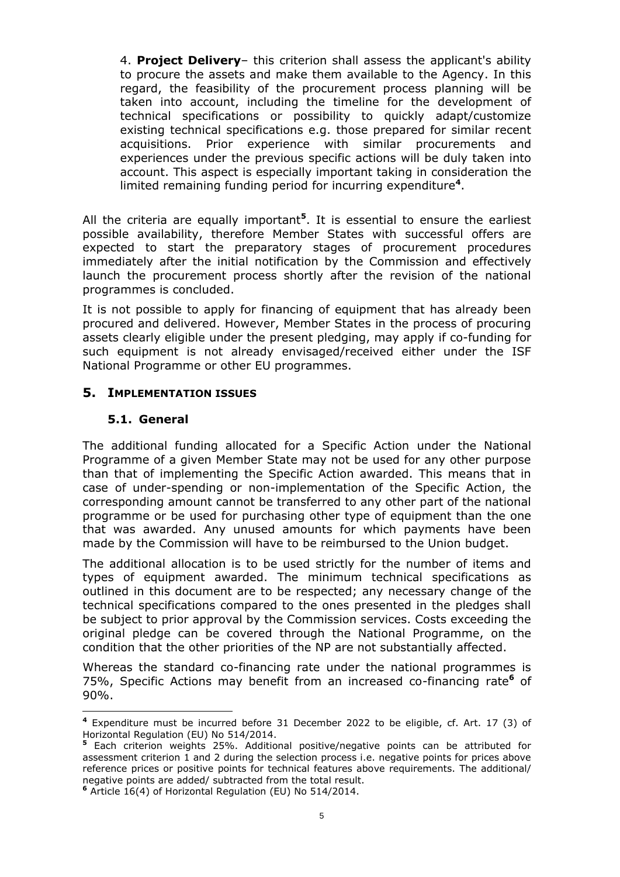4. **Project Delivery**– this criterion shall assess the applicant's ability to procure the assets and make them available to the Agency. In this regard, the feasibility of the procurement process planning will be taken into account, including the timeline for the development of technical specifications or possibility to quickly adapt/customize existing technical specifications e.g. those prepared for similar recent acquisitions. Prior experience with similar procurements and experiences under the previous specific actions will be duly taken into account. This aspect is especially important taking in consideration the limited remaining funding period for incurring expenditure**<sup>4</sup>** .

All the criteria are equally important**<sup>5</sup>** . It is essential to ensure the earliest possible availability, therefore Member States with successful offers are expected to start the preparatory stages of procurement procedures immediately after the initial notification by the Commission and effectively launch the procurement process shortly after the revision of the national programmes is concluded.

It is not possible to apply for financing of equipment that has already been procured and delivered. However, Member States in the process of procuring assets clearly eligible under the present pledging, may apply if co-funding for such equipment is not already envisaged/received either under the ISF National Programme or other EU programmes.

# **5. IMPLEMENTATION ISSUES**

# **5.1. General**

The additional funding allocated for a Specific Action under the National Programme of a given Member State may not be used for any other purpose than that of implementing the Specific Action awarded. This means that in case of under-spending or non-implementation of the Specific Action, the corresponding amount cannot be transferred to any other part of the national programme or be used for purchasing other type of equipment than the one that was awarded. Any unused amounts for which payments have been made by the Commission will have to be reimbursed to the Union budget.

The additional allocation is to be used strictly for the number of items and types of equipment awarded. The minimum technical specifications as outlined in this document are to be respected; any necessary change of the technical specifications compared to the ones presented in the pledges shall be subject to prior approval by the Commission services. Costs exceeding the original pledge can be covered through the National Programme, on the condition that the other priorities of the NP are not substantially affected.

Whereas the standard co-financing rate under the national programmes is 75%, Specific Actions may benefit from an increased co-financing rate**<sup>6</sup>** of 90%.

 $\overline{a}$ **<sup>4</sup>** Expenditure must be incurred before 31 December 2022 to be eligible, cf. Art. 17 (3) of Horizontal Regulation (EU) No 514/2014.

**<sup>5</sup>** Each criterion weights 25%. Additional positive/negative points can be attributed for assessment criterion 1 and 2 during the selection process i.e. negative points for prices above reference prices or positive points for technical features above requirements. The additional/ negative points are added/ subtracted from the total result.

**<sup>6</sup>** Article 16(4) of Horizontal Regulation (EU) No 514/2014.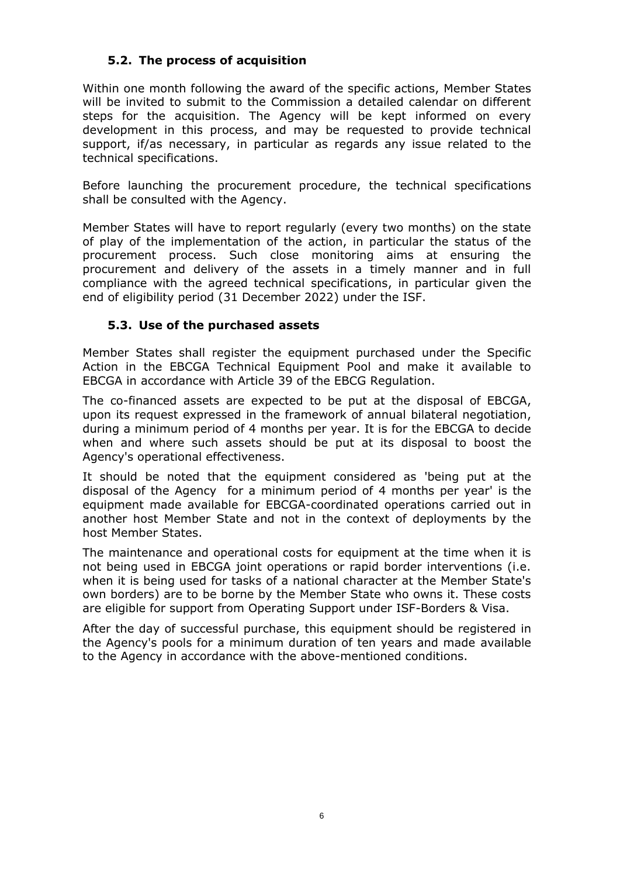# **5.2. The process of acquisition**

Within one month following the award of the specific actions, Member States will be invited to submit to the Commission a detailed calendar on different steps for the acquisition. The Agency will be kept informed on every development in this process, and may be requested to provide technical support, if/as necessary, in particular as regards any issue related to the technical specifications.

Before launching the procurement procedure, the technical specifications shall be consulted with the Agency.

Member States will have to report regularly (every two months) on the state of play of the implementation of the action, in particular the status of the procurement process. Such close monitoring aims at ensuring the procurement and delivery of the assets in a timely manner and in full compliance with the agreed technical specifications, in particular given the end of eligibility period (31 December 2022) under the ISF.

# **5.3. Use of the purchased assets**

Member States shall register the equipment purchased under the Specific Action in the EBCGA Technical Equipment Pool and make it available to EBCGA in accordance with Article 39 of the EBCG Regulation.

The co-financed assets are expected to be put at the disposal of EBCGA, upon its request expressed in the framework of annual bilateral negotiation, during a minimum period of 4 months per year. It is for the EBCGA to decide when and where such assets should be put at its disposal to boost the Agency's operational effectiveness.

It should be noted that the equipment considered as 'being put at the disposal of the Agency for a minimum period of 4 months per year' is the equipment made available for EBCGA-coordinated operations carried out in another host Member State and not in the context of deployments by the host Member States.

The maintenance and operational costs for equipment at the time when it is not being used in EBCGA joint operations or rapid border interventions (i.e. when it is being used for tasks of a national character at the Member State's own borders) are to be borne by the Member State who owns it. These costs are eligible for support from Operating Support under ISF-Borders & Visa.

After the day of successful purchase, this equipment should be registered in the Agency's pools for a minimum duration of ten years and made available to the Agency in accordance with the above-mentioned conditions.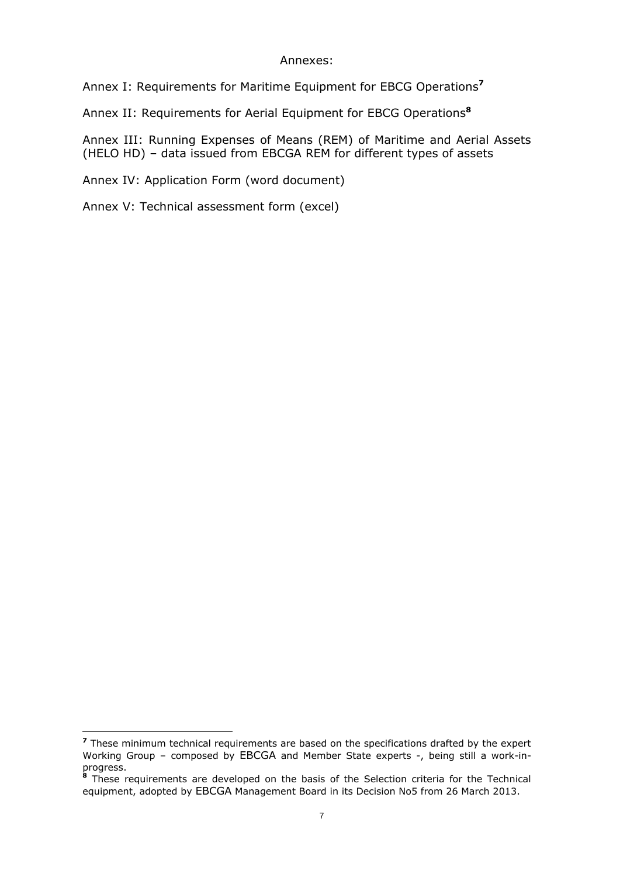### Annexes:

Annex I: Requirements for Maritime Equipment for EBCG Operations**<sup>7</sup>**

Annex II: Requirements for Aerial Equipment for EBCG Operations**<sup>8</sup>**

Annex III: Running Expenses of Means (REM) of Maritime and Aerial Assets (HELO HD) – data issued from EBCGA REM for different types of assets

Annex IV: Application Form (word document)

Annex V: Technical assessment form (excel)

 $\overline{a}$ 

**<sup>7</sup>** These minimum technical requirements are based on the specifications drafted by the expert Working Group – composed by EBCGA and Member State experts -, being still a work-inprogress.

**<sup>8</sup>** These requirements are developed on the basis of the Selection criteria for the Technical equipment, adopted by EBCGA Management Board in its Decision No5 from 26 March 2013.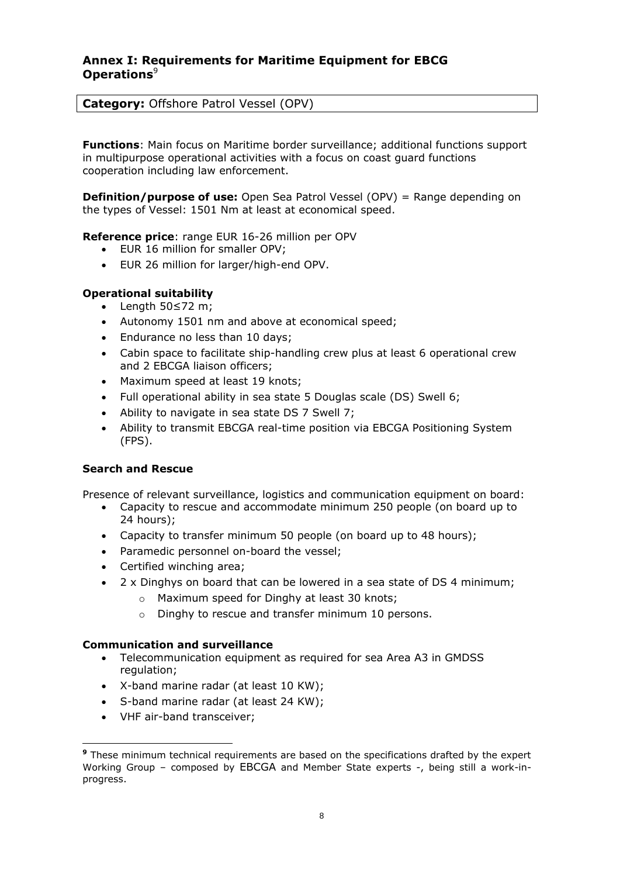### **Annex I: Requirements for Maritime Equipment for EBCG Operations**<sup>9</sup>

### **Category:** Offshore Patrol Vessel (OPV)

**Functions**: Main focus on Maritime border surveillance; additional functions support in multipurpose operational activities with a focus on coast guard functions cooperation including law enforcement.

**Definition/purpose of use:** Open Sea Patrol Vessel (OPV) = Range depending on the types of Vessel: 1501 Nm at least at economical speed.

**Reference price**: range EUR 16-26 million per OPV

- EUR 16 million for smaller OPV;
- EUR 26 million for larger/high-end OPV.

#### **Operational suitability**

- Length 50≤72 m;
- Autonomy 1501 nm and above at economical speed;
- Endurance no less than 10 days:
- Cabin space to facilitate ship-handling crew plus at least 6 operational crew and 2 EBCGA liaison officers;
- Maximum speed at least 19 knots;
- Full operational ability in sea state 5 Douglas scale (DS) Swell 6;
- Ability to navigate in sea state DS 7 Swell 7;
- Ability to transmit EBCGA real-time position via EBCGA Positioning System (FPS).

#### **Search and Rescue**

Presence of relevant surveillance, logistics and communication equipment on board:

- Capacity to rescue and accommodate minimum 250 people (on board up to 24 hours);
- Capacity to transfer minimum 50 people (on board up to 48 hours);
- Paramedic personnel on-board the vessel:
- Certified winching area;
- 2 x Dinghys on board that can be lowered in a sea state of DS 4 minimum;
	- Maximum speed for Dinghy at least 30 knots;
	- o Dinghy to rescue and transfer minimum 10 persons.

#### **Communication and surveillance**

- Telecommunication equipment as required for sea Area A3 in GMDSS regulation:
- X-band marine radar (at least 10 KW);
- S-band marine radar (at least 24 KW);
- VHF air-band transceiver;

 $\overline{a}$ **<sup>9</sup>** These minimum technical requirements are based on the specifications drafted by the expert Working Group – composed by EBCGA and Member State experts -, being still a work-inprogress.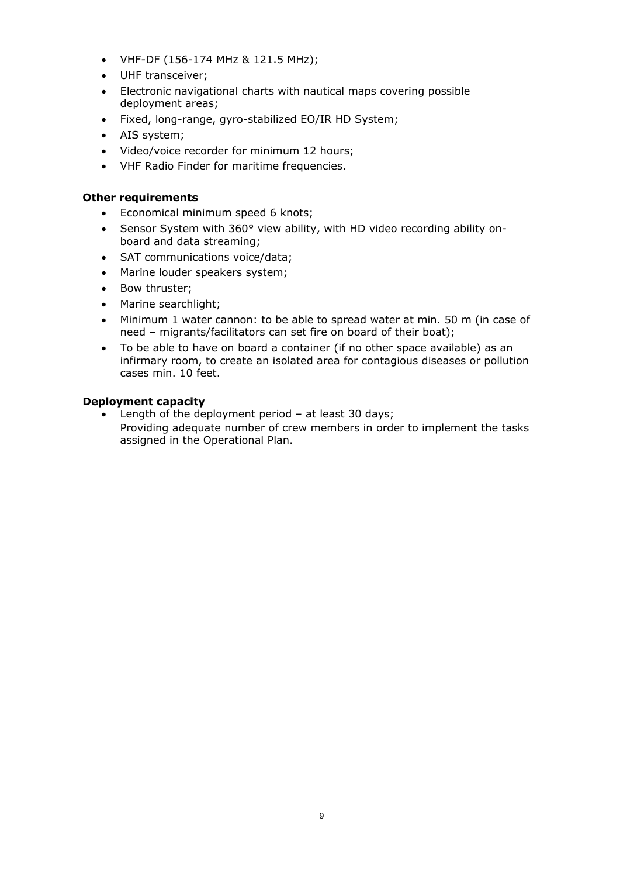- VHF-DF (156-174 MHz & 121.5 MHz);
- UHF transceiver;
- Electronic navigational charts with nautical maps covering possible deployment areas;
- Fixed, long-range, gyro-stabilized EO/IR HD System;
- AIS system;
- Video/voice recorder for minimum 12 hours;
- VHF Radio Finder for maritime frequencies.

### **Other requirements**

- Economical minimum speed 6 knots;
- Sensor System with 360° view ability, with HD video recording ability onboard and data streaming;
- SAT communications voice/data;
- Marine louder speakers system;
- Bow thruster;
- Marine searchlight;
- Minimum 1 water cannon: to be able to spread water at min. 50 m (in case of need – migrants/facilitators can set fire on board of their boat);
- To be able to have on board a container (if no other space available) as an infirmary room, to create an isolated area for contagious diseases or pollution cases min. 10 feet.

#### **Deployment capacity**

 Length of the deployment period – at least 30 days; Providing adequate number of crew members in order to implement the tasks assigned in the Operational Plan.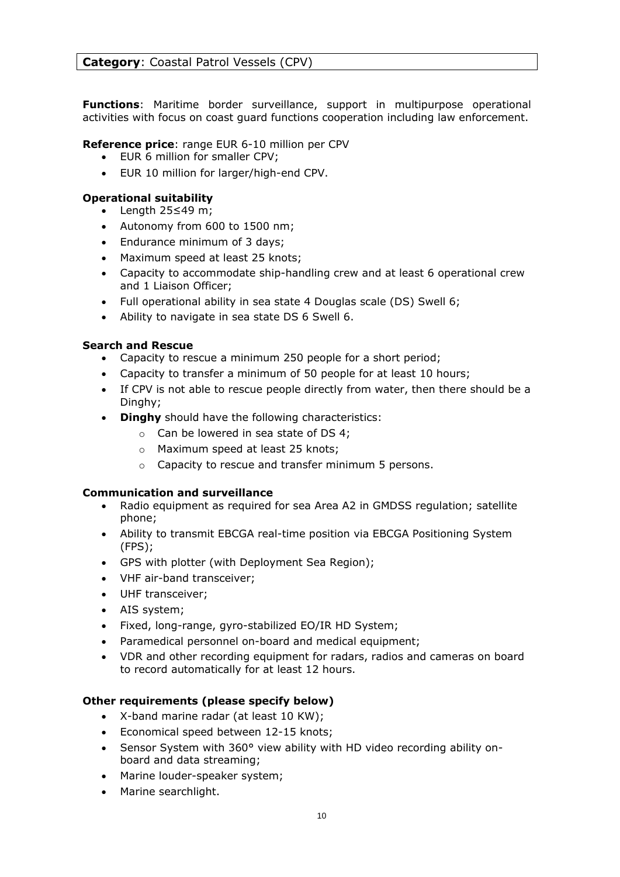**Functions**: Maritime border surveillance, support in multipurpose operational activities with focus on coast guard functions cooperation including law enforcement.

#### **Reference price**: range EUR 6-10 million per CPV

- EUR 6 million for smaller CPV;
- EUR 10 million for larger/high-end CPV.

#### **Operational suitability**

- Length 25≤49 m;
- Autonomy from 600 to 1500 nm;
- Endurance minimum of 3 days;
- Maximum speed at least 25 knots;
- Capacity to accommodate ship-handling crew and at least 6 operational crew and 1 Liaison Officer;
- Full operational ability in sea state 4 Douglas scale (DS) Swell 6;
- Ability to navigate in sea state DS 6 Swell 6.

#### **Search and Rescue**

- Capacity to rescue a minimum 250 people for a short period;
- Capacity to transfer a minimum of 50 people for at least 10 hours;
- If CPV is not able to rescue people directly from water, then there should be a Dinghy;
- **Dinghy** should have the following characteristics:
	- o Can be lowered in sea state of DS 4;
	- o Maximum speed at least 25 knots;
	- o Capacity to rescue and transfer minimum 5 persons.

#### **Communication and surveillance**

- Radio equipment as required for sea Area A2 in GMDSS regulation; satellite phone;
- Ability to transmit EBCGA real-time position via EBCGA Positioning System (FPS);
- GPS with plotter (with Deployment Sea Region);
- VHF air-band transceiver;
- UHF transceiver;
- AIS system;
- Fixed, long-range, gyro-stabilized EO/IR HD System;
- Paramedical personnel on-board and medical equipment;
- VDR and other recording equipment for radars, radios and cameras on board to record automatically for at least 12 hours.

### **Other requirements (please specify below)**

- X-band marine radar (at least 10 KW);
- Economical speed between 12-15 knots;
- Sensor System with 360° view ability with HD video recording ability onboard and data streaming;
- Marine louder-speaker system;
- Marine searchlight.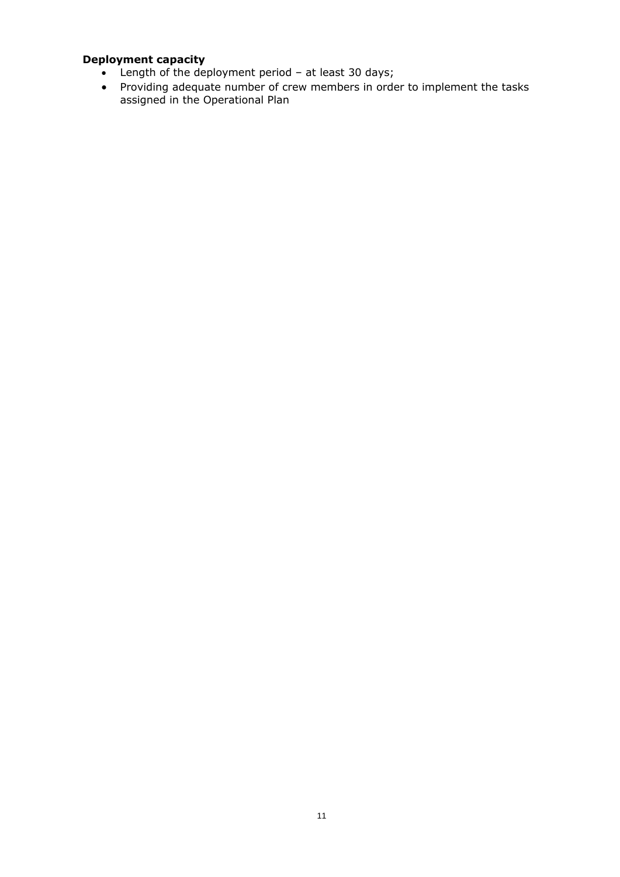- Length of the deployment period at least 30 days;
- Providing adequate number of crew members in order to implement the tasks assigned in the Operational Plan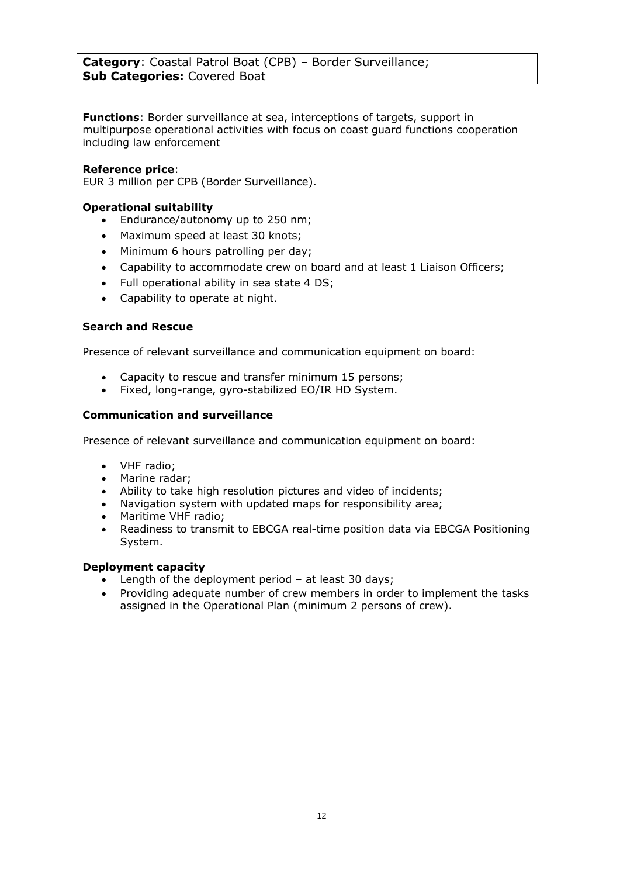**Functions**: Border surveillance at sea, interceptions of targets, support in multipurpose operational activities with focus on coast guard functions cooperation including law enforcement

#### **Reference price**:

EUR 3 million per CPB (Border Surveillance).

### **Operational suitability**

- Endurance/autonomy up to 250 nm;
- Maximum speed at least 30 knots;
- Minimum 6 hours patrolling per day;
- Capability to accommodate crew on board and at least 1 Liaison Officers;
- Full operational ability in sea state 4 DS;
- Capability to operate at night.

#### **Search and Rescue**

Presence of relevant surveillance and communication equipment on board:

- Capacity to rescue and transfer minimum 15 persons;
- Fixed, long-range, gyro-stabilized EO/IR HD System.

#### **Communication and surveillance**

Presence of relevant surveillance and communication equipment on board:

- VHF radio;
- Marine radar;
- Ability to take high resolution pictures and video of incidents;
- Navigation system with updated maps for responsibility area;
- Maritime VHF radio;
- Readiness to transmit to EBCGA real-time position data via EBCGA Positioning System.

- Length of the deployment period at least 30 days;
- Providing adequate number of crew members in order to implement the tasks assigned in the Operational Plan (minimum 2 persons of crew).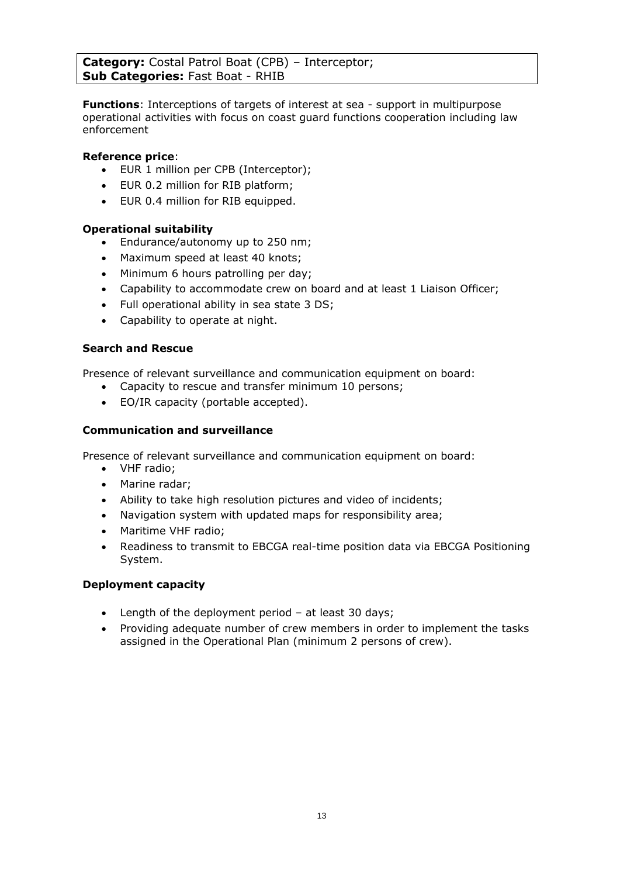**Category:** Costal Patrol Boat (CPB) – Interceptor; **Sub Categories:** Fast Boat - RHIB

**Functions**: Interceptions of targets of interest at sea - support in multipurpose operational activities with focus on coast guard functions cooperation including law enforcement

### **Reference price**:

- EUR 1 million per CPB (Interceptor);
- EUR 0.2 million for RIB platform;
- EUR 0.4 million for RIB equipped.

### **Operational suitability**

- Endurance/autonomy up to 250 nm;
- Maximum speed at least 40 knots;
- Minimum 6 hours patrolling per day;
- Capability to accommodate crew on board and at least 1 Liaison Officer;
- Full operational ability in sea state 3 DS;
- Capability to operate at night.

#### **Search and Rescue**

Presence of relevant surveillance and communication equipment on board:

- Capacity to rescue and transfer minimum 10 persons;
- EO/IR capacity (portable accepted).

### **Communication and surveillance**

Presence of relevant surveillance and communication equipment on board:

- VHF radio;
- Marine radar;
- Ability to take high resolution pictures and video of incidents;
- Navigation system with updated maps for responsibility area;
- Maritime VHF radio;
- Readiness to transmit to EBCGA real-time position data via EBCGA Positioning System.

- Length of the deployment period at least 30 days;
- Providing adequate number of crew members in order to implement the tasks assigned in the Operational Plan (minimum 2 persons of crew).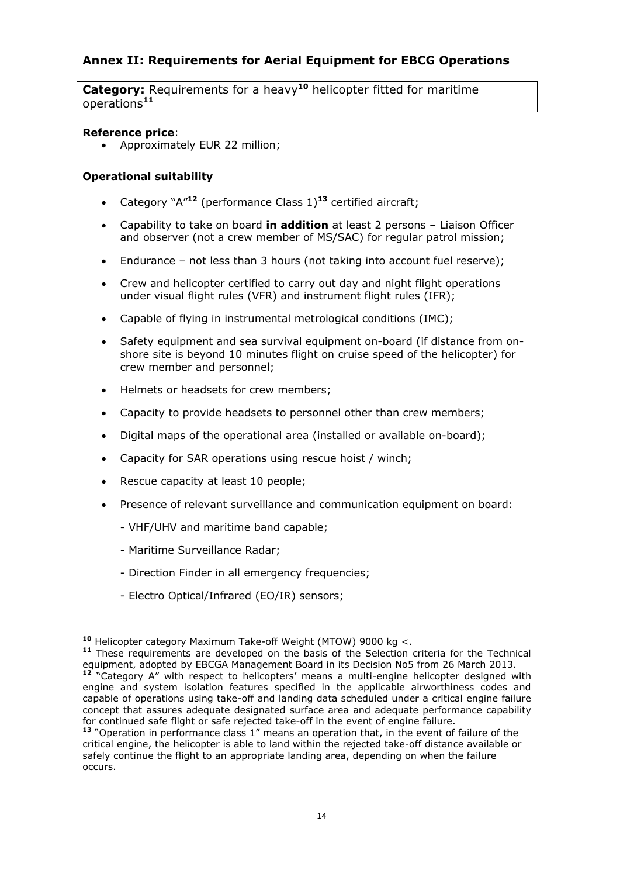# **Annex II: Requirements for Aerial Equipment for EBCG Operations**

**Category:** Requirements for a heavy**<sup>10</sup>** helicopter fitted for maritime operations**<sup>11</sup>**

#### **Reference price**:

Approximately EUR 22 million;

### **Operational suitability**

- Category "A"**<sup>12</sup>** (performance Class 1)**<sup>13</sup>** certified aircraft;
- Capability to take on board **in addition** at least 2 persons Liaison Officer and observer (not a crew member of MS/SAC) for regular patrol mission;
- Endurance not less than 3 hours (not taking into account fuel reserve);
- Crew and helicopter certified to carry out day and night flight operations under visual flight rules (VFR) and instrument flight rules (IFR);
- Capable of flying in instrumental metrological conditions (IMC);
- Safety equipment and sea survival equipment on-board (if distance from onshore site is beyond 10 minutes flight on cruise speed of the helicopter) for crew member and personnel;
- Helmets or headsets for crew members;
- Capacity to provide headsets to personnel other than crew members;
- Digital maps of the operational area (installed or available on-board);
- Capacity for SAR operations using rescue hoist / winch;
- Rescue capacity at least 10 people;
- Presence of relevant surveillance and communication equipment on board:
	- VHF/UHV and maritime band capable;
	- Maritime Surveillance Radar;

 $\overline{a}$ 

- Direction Finder in all emergency frequencies;
- Electro Optical/Infrared (EO/IR) sensors;

**<sup>10</sup>** Helicopter category Maximum Take-off Weight (MTOW) 9000 kg <.

**<sup>11</sup>** These requirements are developed on the basis of the Selection criteria for the Technical equipment, adopted by EBCGA Management Board in its Decision No5 from 26 March 2013.

**<sup>12</sup>** "Category A" with respect to helicopters' means a multi-engine helicopter designed with engine and system isolation features specified in the applicable airworthiness codes and capable of operations using take-off and landing data scheduled under a critical engine failure concept that assures adequate designated surface area and adequate performance capability for continued safe flight or safe rejected take-off in the event of engine failure.

**<sup>13</sup>** "Operation in performance class 1" means an operation that, in the event of failure of the critical engine, the helicopter is able to land within the rejected take-off distance available or safely continue the flight to an appropriate landing area, depending on when the failure occurs.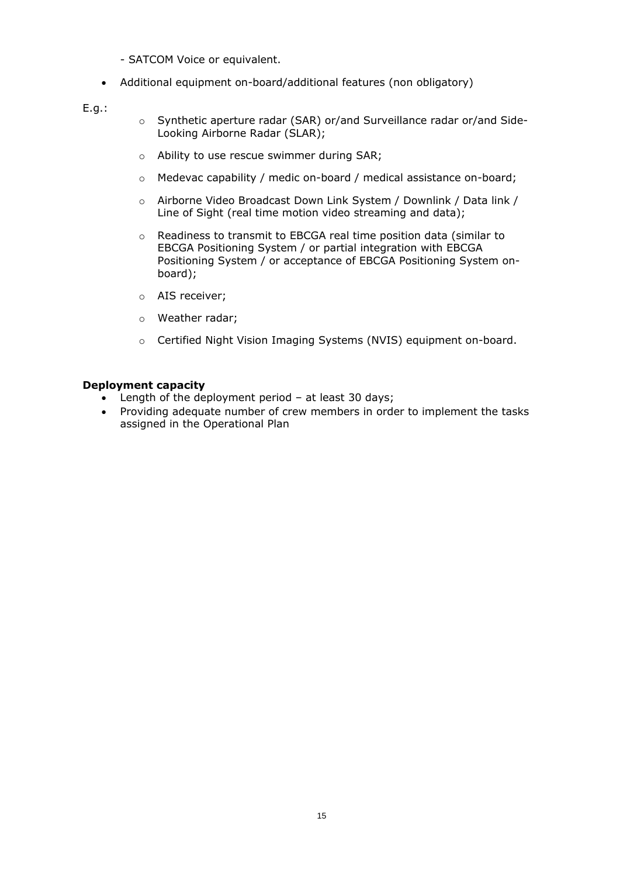- SATCOM Voice or equivalent.
- Additional equipment on-board/additional features (non obligatory)

E.g.:

- o Synthetic aperture radar (SAR) or/and Surveillance radar or/and Side-Looking Airborne Radar (SLAR);
- o Ability to use rescue swimmer during SAR;
- $\circ$  Medevac capability / medic on-board / medical assistance on-board;
- o Airborne Video Broadcast Down Link System / Downlink / Data link / Line of Sight (real time motion video streaming and data);
- o Readiness to transmit to EBCGA real time position data (similar to EBCGA Positioning System / or partial integration with EBCGA Positioning System / or acceptance of EBCGA Positioning System onboard);
- o AIS receiver;
- o Weather radar;
- o Certified Night Vision Imaging Systems (NVIS) equipment on-board.

- Length of the deployment period at least 30 days;
- Providing adequate number of crew members in order to implement the tasks assigned in the Operational Plan